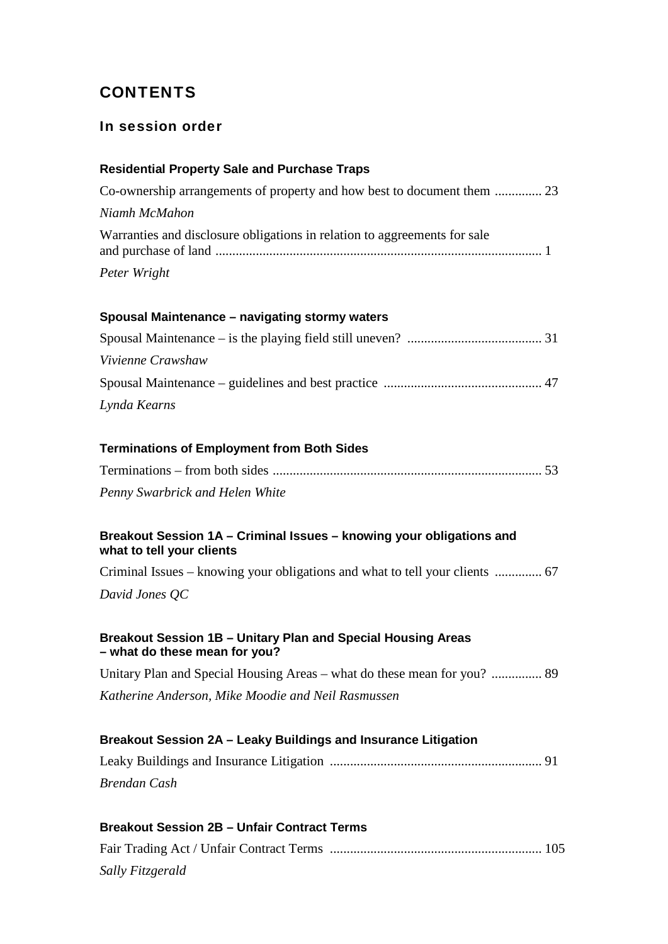# **CONTENTS**

## In session order

# **Residential Property Sale and Purchase Traps** Co-ownership arrangements of property and how best to document them .............. 23 *Niamh McMahon* Warranties and disclosure obligations in relation to aggreements for sale and purchase of land ................................................................................................. 1 *Peter Wright*

# **Spousal Maintenance – navigating stormy waters**

| Vivienne Crawshaw |  |
|-------------------|--|
|                   |  |
| Lynda Kearns      |  |

#### **Terminations of Employment from Both Sides**

| Penny Swarbrick and Helen White |  |
|---------------------------------|--|

#### **Breakout Session 1A – Criminal Issues – knowing your obligations and what to tell your clients**

Criminal Issues – knowing your obligations and what to tell your clients .............. 67 *David Jones QC*

#### **Breakout Session 1B – Unitary Plan and Special Housing Areas – what do these mean for you?**

Unitary Plan and Special Housing Areas – what do these mean for you? ............... 89 *Katherine Anderson, Mike Moodie and Neil Rasmussen*

# **Breakout Session 2A – Leaky Buildings and Insurance Litigation** Leaky Buildings and Insurance Litigation ............................................................... 91 *Brendan Cash*

#### **Breakout Session 2B – Unfair Contract Terms**

Fair Trading Act / Unfair Contract Terms ............................................................... 105 *Sally Fitzgerald*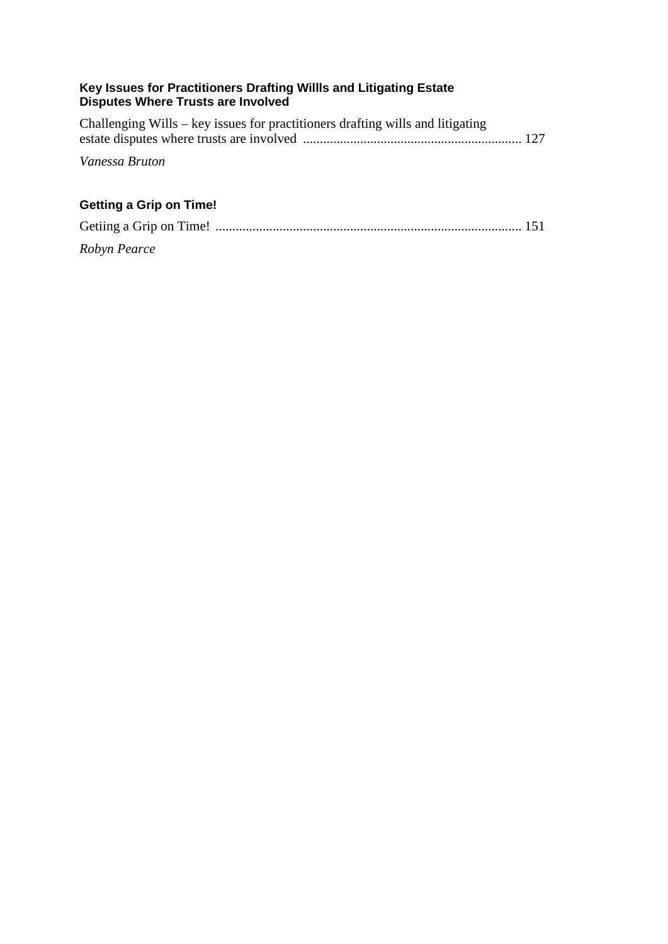#### **Key Issues for Practitioners Drafting Willls and Litigating Estate Disputes Where Trusts are Involved**

| Challenging Wills – key issues for practitioners drafting wills and litigating |  |
|--------------------------------------------------------------------------------|--|
|                                                                                |  |
| Vanessa Bruton                                                                 |  |
|                                                                                |  |

# **Getting a Grip on Time!**

| Robyn Pearce |  |
|--------------|--|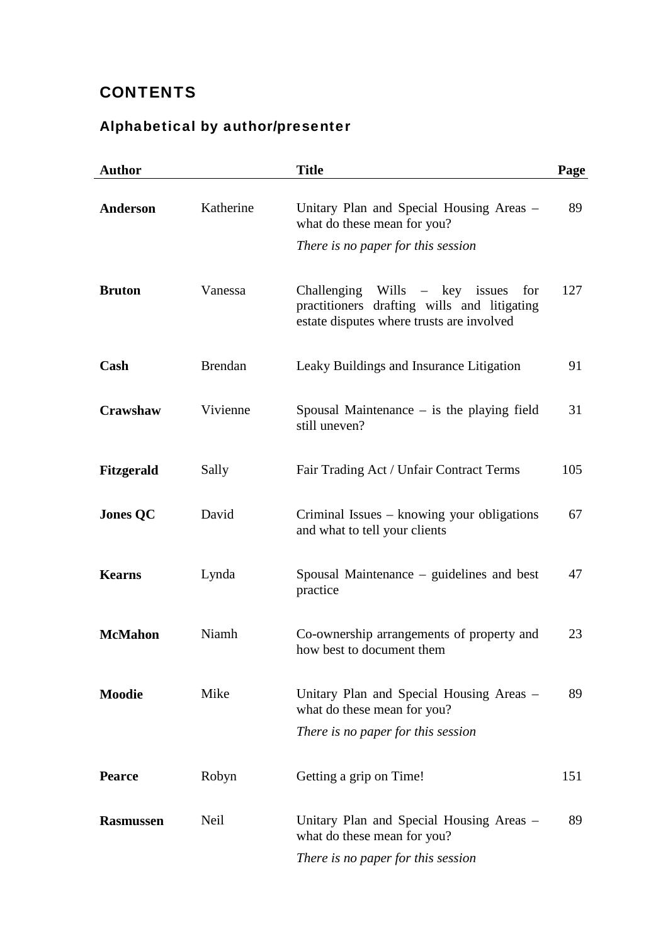# **CONTENTS**

# Alphabetical by author/presenter

| <b>Author</b>    |                | <b>Title</b>                                                                                                                        | Page |
|------------------|----------------|-------------------------------------------------------------------------------------------------------------------------------------|------|
| Anderson         | Katherine      | Unitary Plan and Special Housing Areas -<br>what do these mean for you?                                                             | 89   |
|                  |                | There is no paper for this session                                                                                                  |      |
| <b>Bruton</b>    | Vanessa        | Challenging Wills $-$ key issues<br>for<br>practitioners drafting wills and litigating<br>estate disputes where trusts are involved | 127  |
| Cash             | <b>Brendan</b> | Leaky Buildings and Insurance Litigation                                                                                            | 91   |
| Crawshaw         | Vivienne       | Spousal Maintenance $-$ is the playing field<br>still uneven?                                                                       | 31   |
| Fitzgerald       | Sally          | Fair Trading Act / Unfair Contract Terms                                                                                            | 105  |
| <b>Jones QC</b>  | David          | Criminal Issues – knowing your obligations<br>and what to tell your clients                                                         | 67   |
| <b>Kearns</b>    | Lynda          | Spousal Maintenance – guidelines and best<br>practice                                                                               | 47   |
| <b>McMahon</b>   | Niamh          | Co-ownership arrangements of property and<br>how best to document them                                                              | 23   |
| <b>Moodie</b>    | Mike           | Unitary Plan and Special Housing Areas –<br>what do these mean for you?                                                             | 89   |
|                  |                | There is no paper for this session                                                                                                  |      |
| <b>Pearce</b>    | Robyn          | Getting a grip on Time!                                                                                                             | 151  |
| <b>Rasmussen</b> | Neil           | Unitary Plan and Special Housing Areas –<br>what do these mean for you?                                                             | 89   |
|                  |                | There is no paper for this session                                                                                                  |      |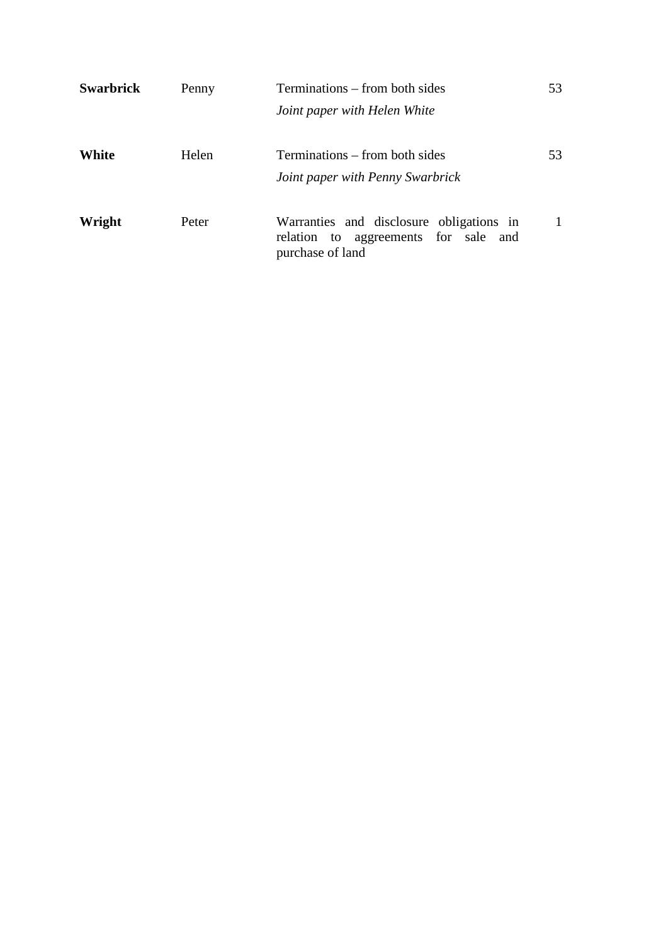| <b>Swarbrick</b> | Penny | Terminations – from both sides                                                                       | 53 |
|------------------|-------|------------------------------------------------------------------------------------------------------|----|
|                  |       | Joint paper with Helen White                                                                         |    |
| White            | Helen | Terminations – from both sides<br>Joint paper with Penny Swarbrick                                   | 53 |
| Wright           | Peter | Warranties and disclosure obligations in<br>relation to aggreements for sale and<br>purchase of land |    |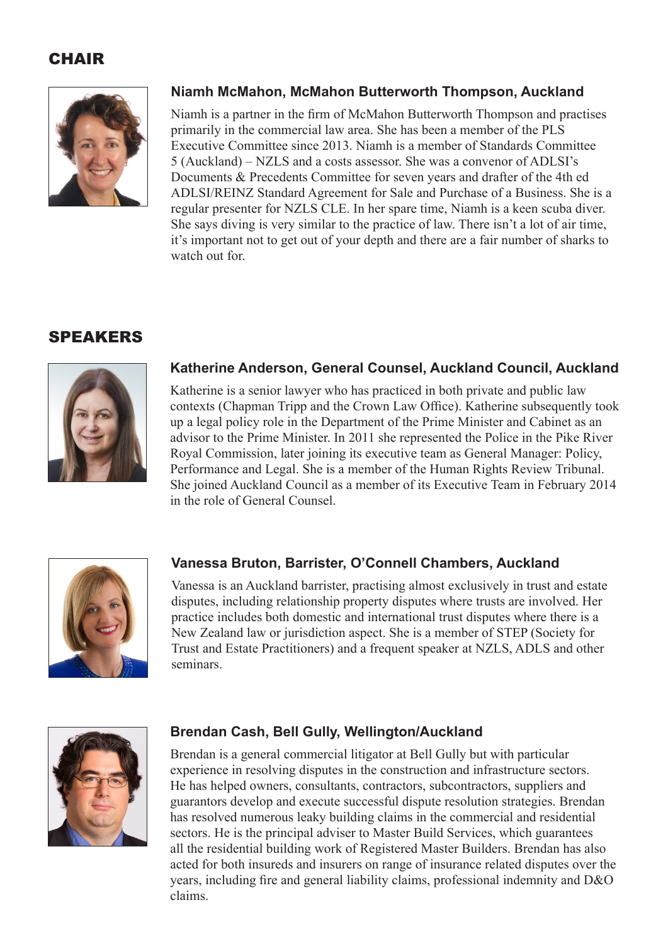# **CHAIR**



## **Niamh McMahon, McMahon Butterworth Thompson, Auckland**

Niamh is a partner in the firm of McMahon Butterworth Thompson and practises primarily in the commercial law area. She has been a member of the PLS Executive Committee since 2013. Niamh is a member of Standards Committee 5 (Auckland) – NZLS and a costs assessor. She was a convenor of ADLSI's Documents & Precedents Committee for seven years and drafter of the 4th ed ADLSI/REINZ Standard Agreement for Sale and Purchase of a Business. She is a regular presenter for NZLS CLE. In her spare time, Niamh is a keen scuba diver. She says diving is very similar to the practice of law. There isn't a lot of air time, it's important not to get out of your depth and there are a fair number of sharks to watch out for

# SPEAKERS



## **Katherine Anderson, General Counsel, Auckland Council, Auckland**

Katherine is a senior lawyer who has practiced in both private and public law contexts (Chapman Tripp and the Crown Law Office). Katherine subsequently took up a legal policy role in the Department of the Prime Minister and Cabinet as an advisor to the Prime Minister. In 2011 she represented the Police in the Pike River Royal Commission, later joining its executive team as General Manager: Policy, Performance and Legal. She is a member of the Human Rights Review Tribunal. She joined Auckland Council as a member of its Executive Team in February 2014 in the role of General Counsel.



## **Vanessa Bruton, Barrister, O'Connell Chambers, Auckland**

Vanessa is an Auckland barrister, practising almost exclusively in trust and estate disputes, including relationship property disputes where trusts are involved. Her practice includes both domestic and international trust disputes where there is a New Zealand law or jurisdiction aspect. She is a member of STEP (Society for Trust and Estate Practitioners) and a frequent speaker at NZLS, ADLS and other seminars.



## **Brendan Cash, Bell Gully, Wellington/Auckland**

Brendan is a general commercial litigator at Bell Gully but with particular experience in resolving disputes in the construction and infrastructure sectors. He has helped owners, consultants, contractors, subcontractors, suppliers and guarantors develop and execute successful dispute resolution strategies. Brendan has resolved numerous leaky building claims in the commercial and residential sectors. He is the principal adviser to Master Build Services, which guarantees all the residential building work of Registered Master Builders. Brendan has also acted for both insureds and insurers on range of insurance related disputes over the years, including fire and general liability claims, professional indemnity and D&O claims.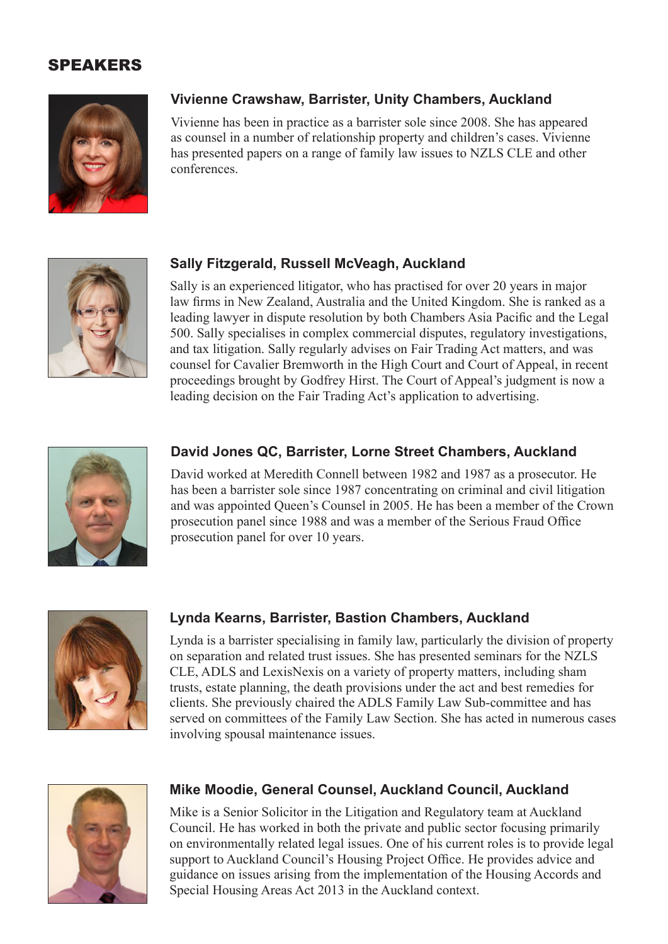## SPEAKERS



## **Vivienne Crawshaw, Barrister, Unity Chambers, Auckland**

Vivienne has been in practice as a barrister sole since 2008. She has appeared as counsel in a number of relationship property and children's cases. Vivienne has presented papers on a range of family law issues to NZLS CLE and other conferences.



#### **Sally Fitzgerald, Russell McVeagh, Auckland**

Sally is an experienced litigator, who has practised for over 20 years in major law firms in New Zealand, Australia and the United Kingdom. She is ranked as a leading lawyer in dispute resolution by both Chambers Asia Pacific and the Legal 500. Sally specialises in complex commercial disputes, regulatory investigations, and tax litigation. Sally regularly advises on Fair Trading Act matters, and was counsel for Cavalier Bremworth in the High Court and Court of Appeal, in recent proceedings brought by Godfrey Hirst. The Court of Appeal's judgment is now a leading decision on the Fair Trading Act's application to advertising.



#### **David Jones QC, Barrister, Lorne Street Chambers, Auckland**

David worked at Meredith Connell between 1982 and 1987 as a prosecutor. He has been a barrister sole since 1987 concentrating on criminal and civil litigation and was appointed Queen's Counsel in 2005. He has been a member of the Crown prosecution panel since 1988 and was a member of the Serious Fraud Office prosecution panel for over 10 years.



#### **Lynda Kearns, Barrister, Bastion Chambers, Auckland**

Lynda is a barrister specialising in family law, particularly the division of property on separation and related trust issues. She has presented seminars for the NZLS CLE, ADLS and LexisNexis on a variety of property matters, including sham trusts, estate planning, the death provisions under the act and best remedies for clients. She previously chaired the ADLS Family Law Sub-committee and has served on committees of the Family Law Section. She has acted in numerous cases involving spousal maintenance issues.



#### **Mike Moodie, General Counsel, Auckland Council, Auckland**

Mike is a Senior Solicitor in the Litigation and Regulatory team at Auckland Council. He has worked in both the private and public sector focusing primarily on environmentally related legal issues. One of his current roles is to provide legal support to Auckland Council's Housing Project Office. He provides advice and guidance on issues arising from the implementation of the Housing Accords and Special Housing Areas Act 2013 in the Auckland context.